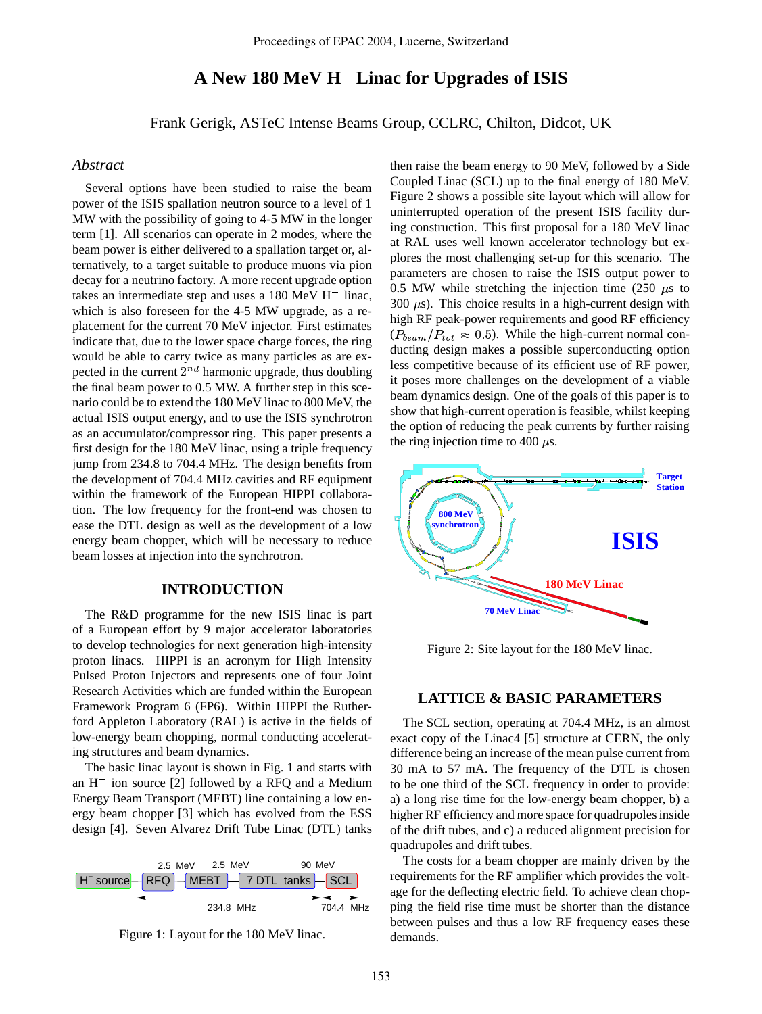# **A New 180 MeV H Linac for Upgrades of ISIS**

Frank Gerigk, ASTeC Intense Beams Group, CCLRC, Chilton, Didcot, UK

### *Abstract*

Several options have been studied to raise the beam power of the ISIS spallation neutron source to a level of 1 MW with the possibility of going to 4-5 MW in the longer term [1]. All scenarios can operate in 2 modes, where the beam power is either delivered to a spallation target or, alternatively, to a target suitable to produce muons via pion decay for a neutrino factory. A more recent upgrade option takes an intermediate step and uses a  $180 \text{ MeV H}^-$  linac, which is also foreseen for the 4-5 MW upgrade, as a replacement for the current 70 MeV injector. First estimates indicate that, due to the lower space charge forces, the ring would be able to carry twice as many particles as are expected in the current  $2^{nd}$  harmonic upgrade, thus doubling the final beam power to 0.5 MW. A further step in this scenario could be to extend the 180 MeV linac to 800 MeV, the actual ISIS output energy, and to use the ISIS synchrotron as an accumulator/compressor ring. This paper presents a first design for the 180 MeV linac, using a triple frequency jump from 234.8 to 704.4 MHz. The design benefits from the development of 704.4 MHz cavities and RF equipment within the framework of the European HIPPI collaboration. The low frequency for the front-end was chosen to ease the DTL design as well as the development of a low energy beam chopper, which will be necessary to reduce beam losses at injection into the synchrotron.

#### **INTRODUCTION**

The R&D programme for the new ISIS linac is part of a European effort by 9 major accelerator laboratories to develop technologies for next generation high-intensity proton linacs. HIPPI is an acronym for High Intensity Pulsed Proton Injectors and represents one of four Joint Research Activities which are funded within the European Framework Program 6 (FP6). Within HIPPI the Rutherford Appleton Laboratory (RAL) is active in the fields of low-energy beam chopping, normal conducting accelerating structures and beam dynamics.

The basic linac layout is shown in Fig. 1 and starts with an H ion source [2] followed by a RFQ and a Medium Energy Beam Transport (MEBT) line containing a low energy beam chopper [3] which has evolved from the ESS design [4]. Seven Alvarez Drift Tube Linac (DTL) tanks





then raise the beam energy to 90 MeV, followed by a Side Coupled Linac (SCL) up to the final energy of 180 MeV. Figure 2 shows a possible site layout which will allow for uninterrupted operation of the present ISIS facility during construction. This first proposal for a 180 MeV linac at RAL uses well known accelerator technology but explores the most challenging set-up for this scenario. The parameters are chosen to raise the ISIS output power to 0.5 MW while stretching the injection time (250  $\mu$ s to 300  $\mu$ s). This choice results in a high-current design with high RF peak-power requirements and good RF efficiency  $(P_{beam}/P_{tot} \approx 0.5)$ . While the high-current normal conducting design makes a possible superconducting option less competitive because of its efficient use of RF power, it poses more challenges on the development of a viable beam dynamics design. One of the goals of this paper is to show that high-current operation is feasible, whilst keeping the option of reducing the peak currents by further raising the ring injection time to 400  $\mu$ s.



Figure 2: Site layout for the 180 MeV linac.

# **LATTICE & BASIC PARAMETERS**

The SCL section, operating at 704.4 MHz, is an almost exact copy of the Linac4 [5] structure at CERN, the only difference being an increase of the mean pulse current from 30 mA to 57 mA. The frequency of the DTL is chosen to be one third of the SCL frequency in order to provide: a) a long rise time for the low-energy beam chopper, b) a higher RF efficiency and more space for quadrupoles inside of the drift tubes, and c) a reduced alignment precision for quadrupoles and drift tubes.

The costs for a beam chopper are mainly driven by the requirements for the RF amplifier which provides the voltage for the deflecting electric field. To achieve clean chopping the field rise time must be shorter than the distance between pulses and thus a low RF frequency eases these demands.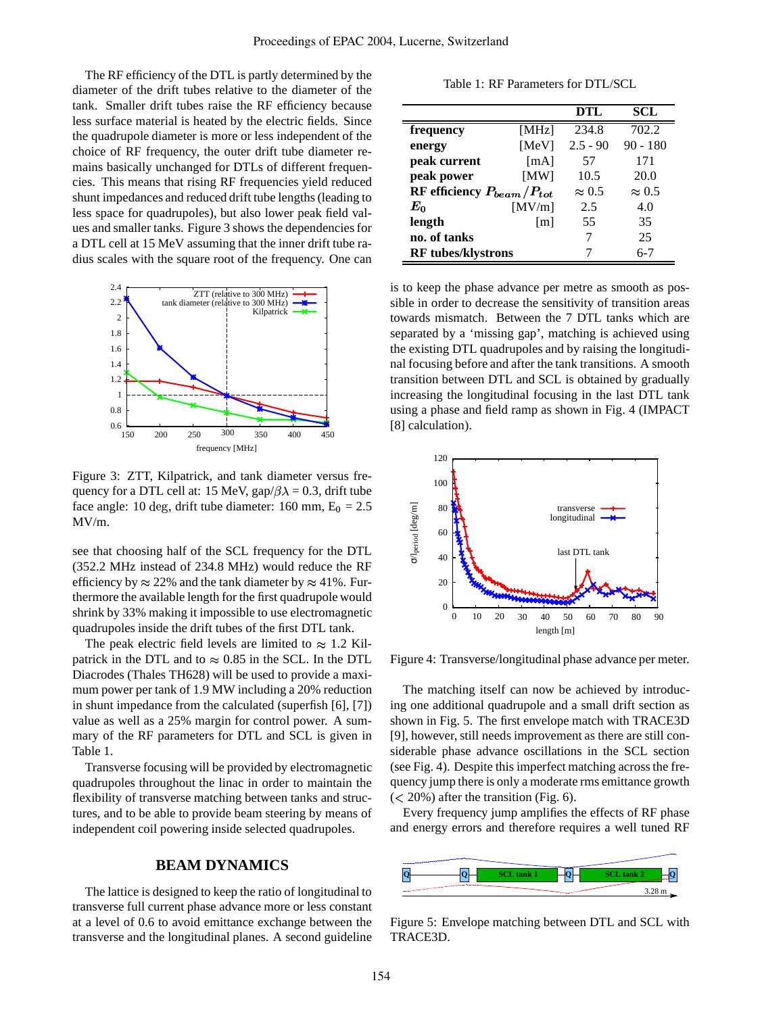The RF efficiency of the DTL is partly determined by the diameter of the drift tubes relative to the diameter of the tank. Smaller drift tubes raise the RF efficiency because less surface material is heated by the electric fields. Since the quadrupole diameter is more or less independent of the choice of RF frequency, the outer drift tube diameter remains basically unchanged for DTLs of different frequencies. This means that rising RF frequencies yield reduced shunt impedances and reduced drift tube lengths(leading to less space for quadrupoles), but also lower peak field values and smaller tanks. Figure 3 shows the dependenciesfor a DTL cell at 15 MeV assuming that the inner drift tube radius scales with the square root of the frequency. One can



Figure 3: ZTT, Kilpatrick, and tank diameter versus frequency for a DTL cell at: 15 MeV, gap/ $\beta \lambda = 0.3$ , drift tube face angle: 10 deg, drift tube diameter: 160 mm,  $E_0 = 2.5$ MV/m.

see that choosing half of the SCL frequency for the DTL (352.2 MHz instead of 234.8 MHz) would reduce the RF efficiency by  $\approx 22\%$  and the tank diameter by  $\approx 41\%$ . Furthermore the available length for the first quadrupole would shrink by 33% making it impossible to use electromagnetic quadrupoles inside the drift tubes of the first DTL tank.

The peak electric field levels are limited to  $\approx 1.2$  Kilpatrick in the DTL and to  $\approx 0.85$  in the SCL. In the DTL Diacrodes (Thales TH628) will be used to provide a maximum power per tank of 1.9 MW including a 20% reduction in shunt impedance from the calculated (superfish [6], [7]) value as well as a 25% margin for control power. A summary of the RF parameters for DTL and SCL is given in Table 1.

Transverse focusing will be provided by electromagnetic quadrupoles throughout the linac in order to maintain the flexibility of transverse matching between tanks and structures, and to be able to provide beam steering by means of independent coil powering inside selected quadrupoles.

## **BEAM DYNAMICS**

The lattice is designed to keep the ratio of longitudinal to transverse full current phase advance more or less constant at a level of 0.6 to avoid emittance exchange between the transverse and the longitudinal planes. A second guideline

Table 1: RF Parameters for DTL/SCL

|                                  |                   | DTL           | SCL           |
|----------------------------------|-------------------|---------------|---------------|
| frequency                        | [MHz]             | 234.8         | 702.2         |
| energy                           | [MeV]             | $2.5 - 90$    | $90 - 180$    |
| peak current                     | [mA]              | 57            | 171           |
| peak power                       | [MW]              | 10.5          | 20.0          |
| RF efficiency $P_{beam}/P_{tot}$ |                   | $\approx 0.5$ | $\approx 0.5$ |
| $E_0$                            | [MV/m]            | 2.5           | 4.0           |
| length                           | $\lceil m \rceil$ | 55            | 35            |
| no. of tanks                     |                   |               | 25            |
| <b>RF</b> tubes/klystrons        |                   |               | $6 - 7$       |

is to keep the phase advance per metre as smooth as possible in order to decrease the sensitivity of transition areas towards mismatch. Between the 7 DTL tanks which are separated by a 'missing gap', matching is achieved using the existing DTL quadrupoles and by raising the longitudinal focusing before and after the tank transitions. A smooth transition between DTL and SCL is obtained by gradually increasing the longitudinal focusing in the last DTL tank using a phase and field ramp as shown in Fig. 4 (IMPACT [8] calculation).



Figure 4: Transverse/longitudinal phase advance per meter.

The matching itself can now be achieved by introducing one additional quadrupole and a small drift section as shown in Fig. 5. The first envelope match with TRACE3D [9], however, still needs improvement as there are still considerable phase advance oscillations in the SCL section (see Fig. 4). Despite this imperfect matching across the frequency jump there is only a moderate rms emittance growth  $(< 20\%)$  after the transition (Fig. 6).

Every frequency jump amplifies the effects of RF phase and energy errors and therefore requires a well tuned RF



Figure 5: Envelope matching between DTL and SCL with TRACE3D.